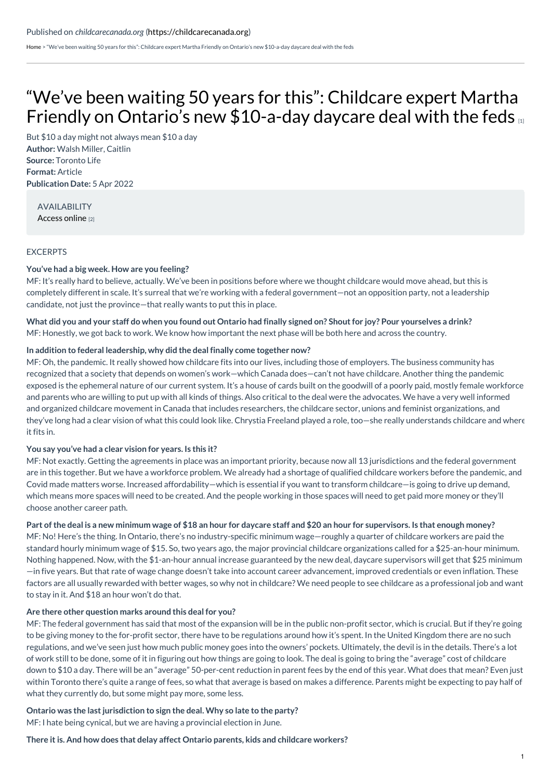[Home](https://childcarecanada.org/) > "We've been waiting 50 years for this": Childcare expert Martha Friendly on Ontario's new \$10-a-day daycare deal with the feds

# "We've been waiting 50 years for this": Childcare expert Martha Friendly on Ontario's new [\\$10-a-day](https://childcarecanada.org/documents/child-care-news/22/04/%25E2%2580%259Cwe%25E2%2580%2599ve-been-waiting-50-years-%25E2%2580%259D-childcare-expert-martha-friendly) daycare deal with the feds

**Author:** Walsh Miller, Caitlin **Source:** Toronto Life **Format:** Article **Publication Date:** 5 Apr 2022 But \$10 a day might not always mean \$10 a day

AVAILABILITY [Access](https://torontolife.com/city/weve-been-waiting-50-years-for-this-childcare-expert-martha-friendly-on-ontarios-new-10-a-day-daycare-deal-with-the-feds/) online [2]

# EXCERPTS

### **You've had a big week. How are you feeling?**

MF: It's really hard to believe, actually. We've been in positions before where we thought childcare would move ahead, but this is completely different in scale. It's surreal that we're working with a federal government—not an opposition party, not a leadership candidate, not just the province—that really wants to put this in place.

What did you and your staff do when you found out Ontario had finally signed on? Shout for joy? Pour yourselyes a drink? MF: Honestly, we got back to work. We know how important the next phase will be both here and across the country.

### **In addition to federal leadership, why did the deal finally come together now?**

MF: Oh, the pandemic. It really showed how childcare fits into our lives, including those of employers. The business community has recognized that a society that depends on women's work—which Canada does—can't not have childcare. Another thing the pandemic exposed is the ephemeral nature of our current system. It's a house of cards built on the goodwill of a poorly paid, mostly female workforce and parents who are willing to put up with all kinds of things. Also critical to the deal were the advocates. We have a very well informed and organized childcare movement in Canada that includes researchers, the childcare sector, unions and feminist organizations, and they've long had a clear vision of what this could look like. Chrystia Freeland played a role, too—she really understands childcare and where it fits in.

### **You say you've had a clear vision for years. Is this it?**

MF: Not exactly. Getting the agreements in place was an important priority, because now all 13 jurisdictions and the federal government are in this together. But we have a workforce problem. We already had a shortage of qualified childcare workers before the pandemic, and Covid made matters worse. Increased affordability—which is essential if you want to transform childcare—is going to drive up demand, which means more spaces will need to be created. And the people working in those spaces will need to get paid more money or they'll choose another career path.

### Part of the deal is a new minimum wage of \$18 an hour for daycare staff and \$20 an hour for supervisors. Is that enough money?

MF: No! Here's the thing. In Ontario, there's no industry-specific minimum wage—roughly a quarter of childcare workers are paid the standard hourly minimum wage of \$15. So, two years ago, the major provincial childcare organizations called for a \$25-an-hour minimum. Nothing happened. Now, with the \$1-an-hour annual increase guaranteed by the new deal, daycare supervisors will get that \$25 minimum —in five years. But that rate of wage change doesn't take into account career advancement, improved credentials or even inflation. These factors are all usually rewarded with better wages, so why not in childcare? We need people to see childcare as a professional job and want to stay in it. And \$18 an hour won't do that.

### **Are there other question marks around this deal for you?**

MF: The federal government has said that most of the expansion will be in the public non-profit sector, which is crucial. But if they're going to be giving money to the for-profit sector, there have to be regulations around how it's spent. In the United Kingdom there are no such regulations, and we've seen just how much public money goes into the owners' pockets. Ultimately, the devil is in the details. There's a lot of work still to be done, some of it in figuring out how things are going to look. The deal is going to bring the "average" cost of childcare down to \$10 a day. There will be an "average" 50-per-cent reduction in parent fees by the end of this year. What does that mean? Even just within Toronto there's quite a range of fees, so what that average is based on makes a difference. Parents might be expecting to pay half of what they currently do, but some might pay more, some less.

### **Ontario was the last jurisdiction to sign the deal. Why so late to the party?**

MF: I hate being cynical, but we are having a provincial election in June.

#### **There it is. And how does that delay affect Ontario parents, kids and childcare workers?**